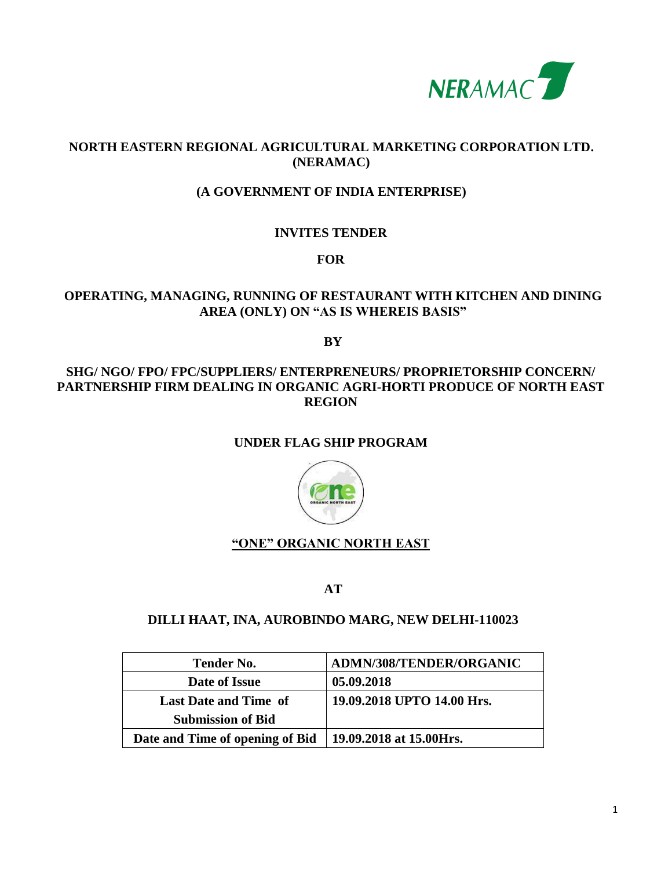

# **NORTH EASTERN REGIONAL AGRICULTURAL MARKETING CORPORATION LTD. (NERAMAC)**

# **(A GOVERNMENT OF INDIA ENTERPRISE)**

# **INVITES TENDER**

**FOR**

# **OPERATING, MANAGING, RUNNING OF RESTAURANT WITH KITCHEN AND DINING AREA (ONLY) ON "AS IS WHEREIS BASIS"**

**BY**

### **SHG/ NGO/ FPO/ FPC/SUPPLIERS/ ENTERPRENEURS/ PROPRIETORSHIP CONCERN/ PARTNERSHIP FIRM DEALING IN ORGANIC AGRI-HORTI PRODUCE OF NORTH EAST REGION**

# **UNDER FLAG SHIP PROGRAM**



# **"ONE" ORGANIC NORTH EAST**

**AT**

#### **DILLI HAAT, INA, AUROBINDO MARG, NEW DELHI-110023**

| <b>Tender No.</b>               | ADMN/308/TENDER/ORGANIC    |
|---------------------------------|----------------------------|
| Date of Issue                   | 05.09.2018                 |
| <b>Last Date and Time of</b>    | 19.09.2018 UPTO 14.00 Hrs. |
| <b>Submission of Bid</b>        |                            |
| Date and Time of opening of Bid | 19.09.2018 at 15.00Hrs.    |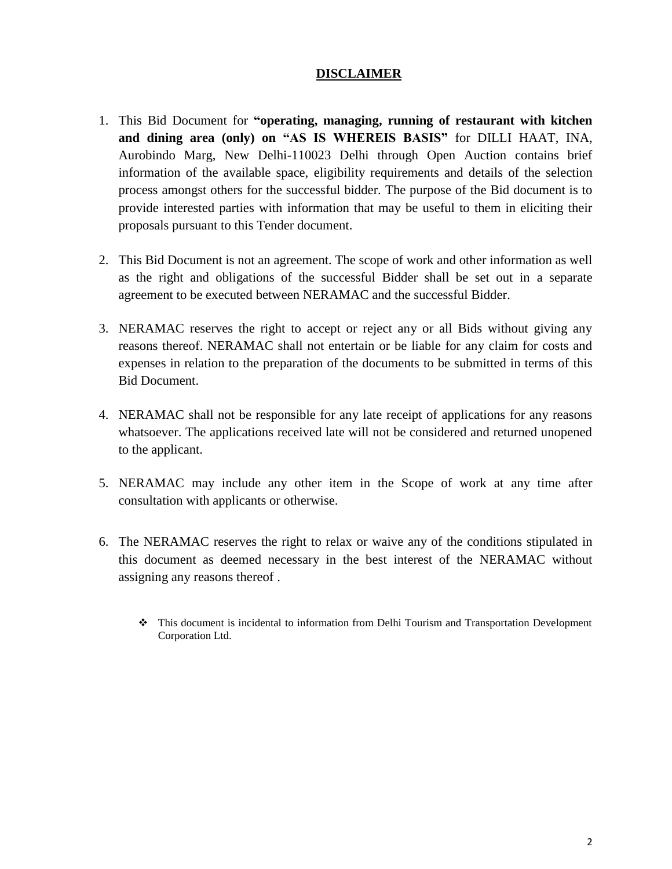### **DISCLAIMER**

- 1. This Bid Document for **"operating, managing, running of restaurant with kitchen and dining area (only) on "AS IS WHEREIS BASIS"** for DILLI HAAT, INA, Aurobindo Marg, New Delhi-110023 Delhi through Open Auction contains brief information of the available space, eligibility requirements and details of the selection process amongst others for the successful bidder. The purpose of the Bid document is to provide interested parties with information that may be useful to them in eliciting their proposals pursuant to this Tender document.
- 2. This Bid Document is not an agreement. The scope of work and other information as well as the right and obligations of the successful Bidder shall be set out in a separate agreement to be executed between NERAMAC and the successful Bidder.
- 3. NERAMAC reserves the right to accept or reject any or all Bids without giving any reasons thereof. NERAMAC shall not entertain or be liable for any claim for costs and expenses in relation to the preparation of the documents to be submitted in terms of this Bid Document.
- 4. NERAMAC shall not be responsible for any late receipt of applications for any reasons whatsoever. The applications received late will not be considered and returned unopened to the applicant.
- 5. NERAMAC may include any other item in the Scope of work at any time after consultation with applicants or otherwise.
- 6. The NERAMAC reserves the right to relax or waive any of the conditions stipulated in this document as deemed necessary in the best interest of the NERAMAC without assigning any reasons thereof .
	- This document is incidental to information from Delhi Tourism and Transportation Development Corporation Ltd.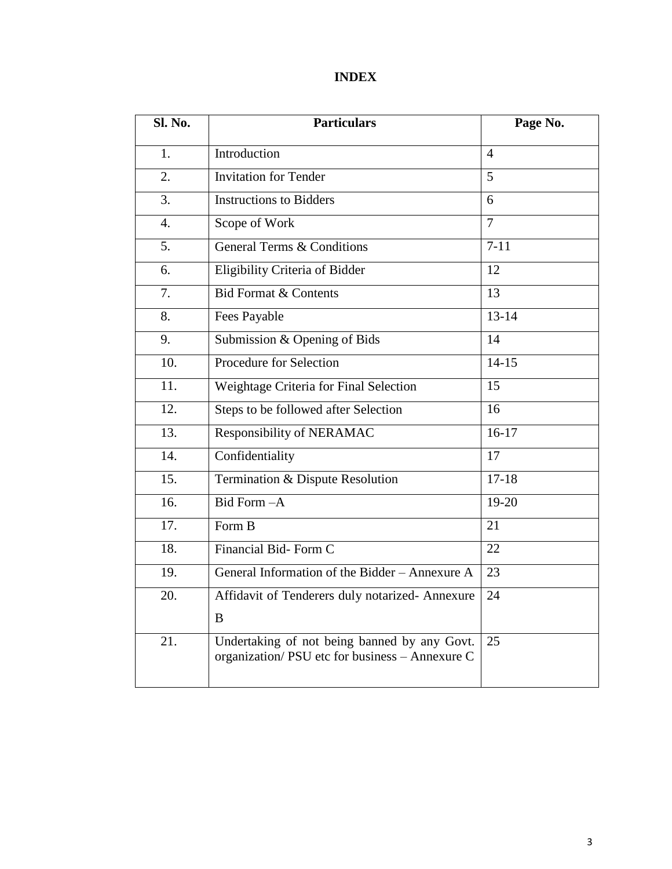# **INDEX**

| <b>Sl. No.</b>   | <b>Particulars</b>                                                                              | Page No.       |  |
|------------------|-------------------------------------------------------------------------------------------------|----------------|--|
| 1.               | Introduction                                                                                    | $\overline{4}$ |  |
| 2.               | <b>Invitation for Tender</b>                                                                    | 5              |  |
| 3.               | <b>Instructions to Bidders</b>                                                                  | 6              |  |
| $\overline{4}$ . | Scope of Work                                                                                   | $\overline{7}$ |  |
| 5.               | <b>General Terms &amp; Conditions</b>                                                           | $7 - 11$       |  |
| 6.               | Eligibility Criteria of Bidder                                                                  | 12             |  |
| 7.               | <b>Bid Format &amp; Contents</b>                                                                | 13             |  |
| 8.               | Fees Payable                                                                                    | $13 - 14$      |  |
| 9.               | Submission & Opening of Bids                                                                    | 14             |  |
| 10.              | <b>Procedure for Selection</b>                                                                  | $14 - 15$      |  |
| 11.              | Weightage Criteria for Final Selection                                                          | 15             |  |
| 12.              | Steps to be followed after Selection                                                            | 16             |  |
| 13.              | Responsibility of NERAMAC                                                                       | $16-17$        |  |
| 14.              | Confidentiality                                                                                 | 17             |  |
| 15.              | Termination & Dispute Resolution                                                                | $17 - 18$      |  |
| 16.              | Bid Form-A                                                                                      | 19-20          |  |
| 17.              | Form B                                                                                          | 21             |  |
| 18.              | Financial Bid-Form C                                                                            | 22             |  |
| 19.              | General Information of the Bidder - Annexure A                                                  | 23             |  |
| 20.              | Affidavit of Tenderers duly notarized- Annexure                                                 | 24             |  |
|                  | B                                                                                               |                |  |
| 21.              | Undertaking of not being banned by any Govt.<br>organization/ PSU etc for business - Annexure C | 25             |  |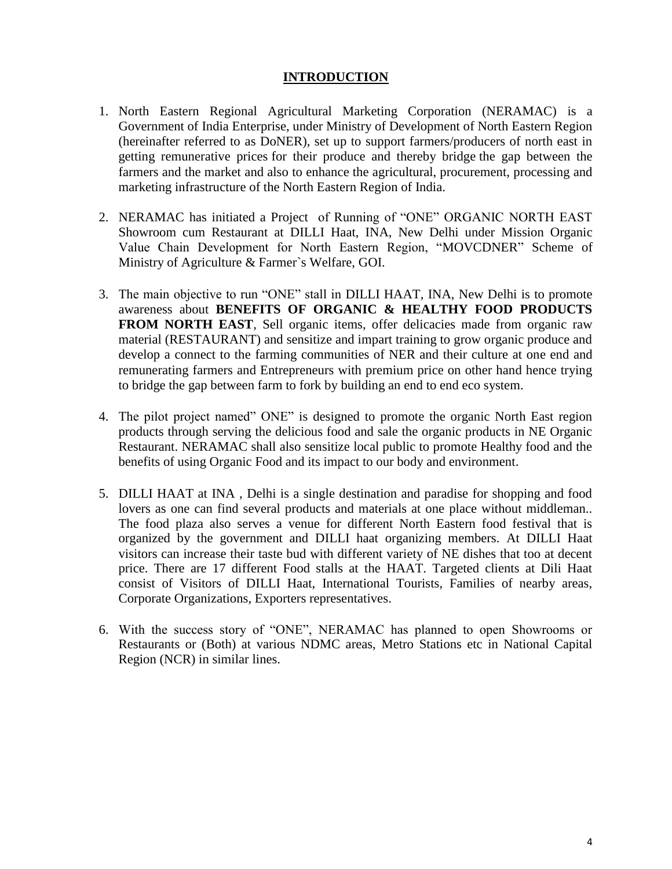### **INTRODUCTION**

- 1. North Eastern Regional Agricultural Marketing Corporation (NERAMAC) is a Government of India Enterprise, under Ministry of Development of North Eastern Region (hereinafter referred to as DoNER), set up to support farmers/producers of north east in getting remunerative prices for their produce and thereby bridge the gap between the farmers and the market and also to enhance the agricultural, procurement, processing and marketing infrastructure of the North Eastern Region of India.
- 2. NERAMAC has initiated a Project of Running of "ONE" ORGANIC NORTH EAST Showroom cum Restaurant at DILLI Haat, INA, New Delhi under Mission Organic Value Chain Development for North Eastern Region, "MOVCDNER" Scheme of Ministry of Agriculture & Farmer`s Welfare, GOI.
- 3. The main objective to run "ONE" stall in DILLI HAAT, INA, New Delhi is to promote awareness about **BENEFITS OF ORGANIC & HEALTHY FOOD PRODUCTS FROM NORTH EAST**, Sell organic items, offer delicacies made from organic raw material (RESTAURANT) and sensitize and impart training to grow organic produce and develop a connect to the farming communities of NER and their culture at one end and remunerating farmers and Entrepreneurs with premium price on other hand hence trying to bridge the gap between farm to fork by building an end to end eco system.
- 4. The pilot project named" ONE" is designed to promote the organic North East region products through serving the delicious food and sale the organic products in NE Organic Restaurant. NERAMAC shall also sensitize local public to promote Healthy food and the benefits of using Organic Food and its impact to our body and environment.
- 5. DILLI HAAT at INA , Delhi is a single destination and paradise for shopping and food lovers as one can find several products and materials at one place without middleman.. The food plaza also serves a venue for different North Eastern food festival that is organized by the government and DILLI haat organizing members. At DILLI Haat visitors can increase their taste bud with different variety of NE dishes that too at decent price. There are 17 different Food stalls at the HAAT. Targeted clients at Dili Haat consist of Visitors of DILLI Haat, International Tourists, Families of nearby areas, Corporate Organizations, Exporters representatives.
- 6. With the success story of "ONE", NERAMAC has planned to open Showrooms or Restaurants or (Both) at various NDMC areas, Metro Stations etc in National Capital Region (NCR) in similar lines.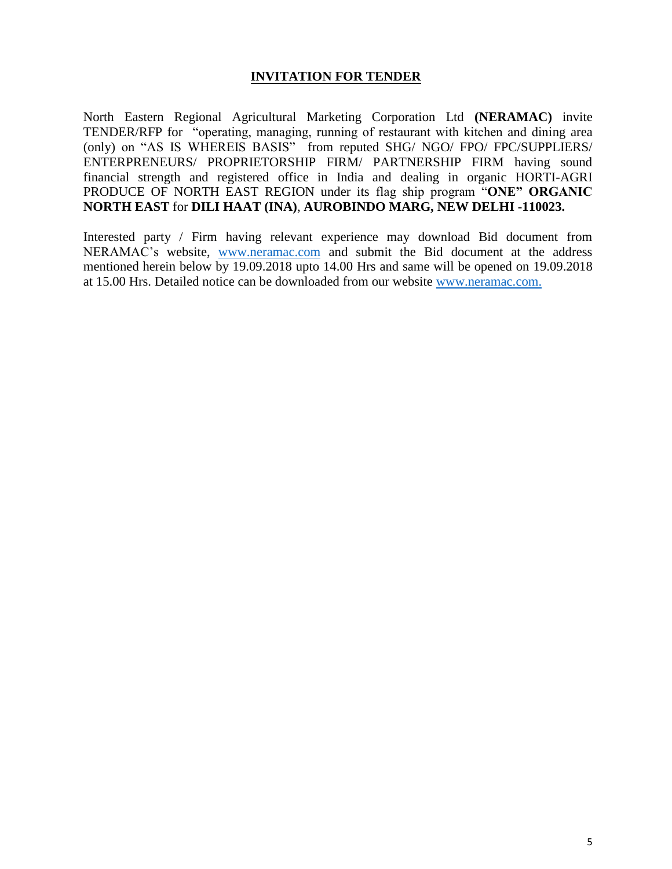### **INVITATION FOR TENDER**

North Eastern Regional Agricultural Marketing Corporation Ltd **(NERAMAC)** invite TENDER/RFP for "operating, managing, running of restaurant with kitchen and dining area (only) on "AS IS WHEREIS BASIS" from reputed SHG/ NGO/ FPO/ FPC/SUPPLIERS/ ENTERPRENEURS/ PROPRIETORSHIP FIRM/ PARTNERSHIP FIRM having sound financial strength and registered office in India and dealing in organic HORTI-AGRI PRODUCE OF NORTH EAST REGION under its flag ship program "**ONE" ORGANIC NORTH EAST** for **DILI HAAT (INA)**, **AUROBINDO MARG, NEW DELHI -110023.**

Interested party / Firm having relevant experience may download Bid document from NERAMAC's website, [www.neramac.com](http://www.neramac.com/) and submit the Bid document at the address mentioned herein below by 19.09.2018 upto 14.00 Hrs and same will be opened on 19.09.2018 at 15.00 Hrs. Detailed notice can be downloaded from our website [www.neramac.com.](http://www.neramac.com./)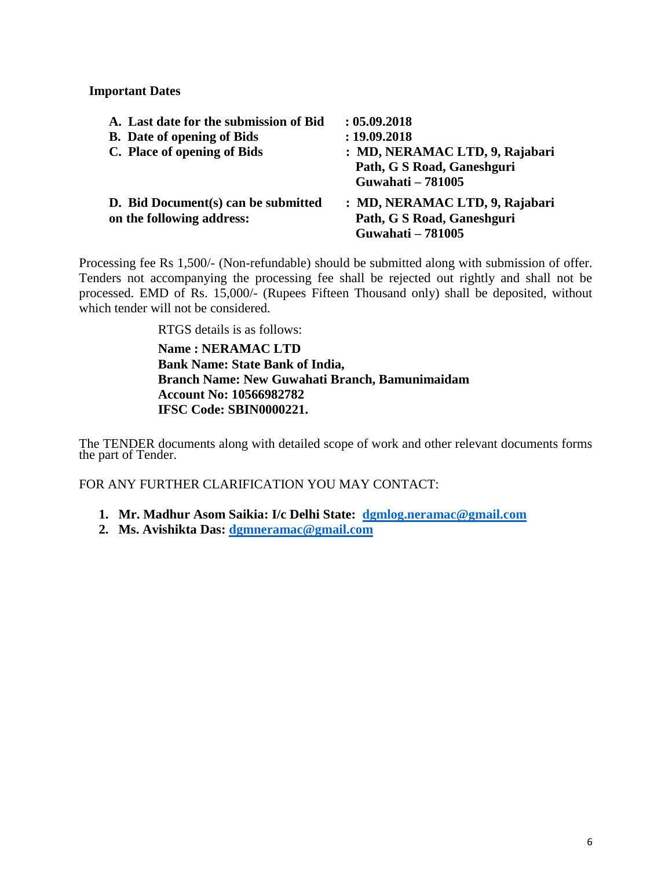**Important Dates**

| A. Last date for the submission of Bid                           | : 05.09.2018                                                                             |
|------------------------------------------------------------------|------------------------------------------------------------------------------------------|
| <b>B.</b> Date of opening of Bids                                | : 19.09.2018                                                                             |
| C. Place of opening of Bids                                      | : MD, NERAMAC LTD, 9, Rajabari<br>Path, G S Road, Ganeshguri<br><b>Guwahati - 781005</b> |
| D. Bid Document(s) can be submitted<br>on the following address: | : MD, NERAMAC LTD, 9, Rajabari<br>Path, G S Road, Ganeshguri<br><b>Guwahati - 781005</b> |

Processing fee Rs 1,500/- (Non-refundable) should be submitted along with submission of offer. Tenders not accompanying the processing fee shall be rejected out rightly and shall not be processed. EMD of Rs. 15,000/- (Rupees Fifteen Thousand only) shall be deposited, without which tender will not be considered.

RTGS details is as follows:

**Name : NERAMAC LTD Bank Name: State Bank of India, Branch Name: New Guwahati Branch, Bamunimaidam Account No: 10566982782 IFSC Code: SBIN0000221.**

The TENDER documents along with detailed scope of work and other relevant documents forms the part of Tender.

FOR ANY FURTHER CLARIFICATION YOU MAY CONTACT:

- **1. Mr. Madhur Asom Saikia: I/c Delhi State: [dgmlog.neramac@gmail.com](mailto:dgmlog.neramac@gmail.com)**
- **2. Ms. Avishikta Das: [dgmneramac@gmail.com](mailto:dgmneramac@gmail.com)**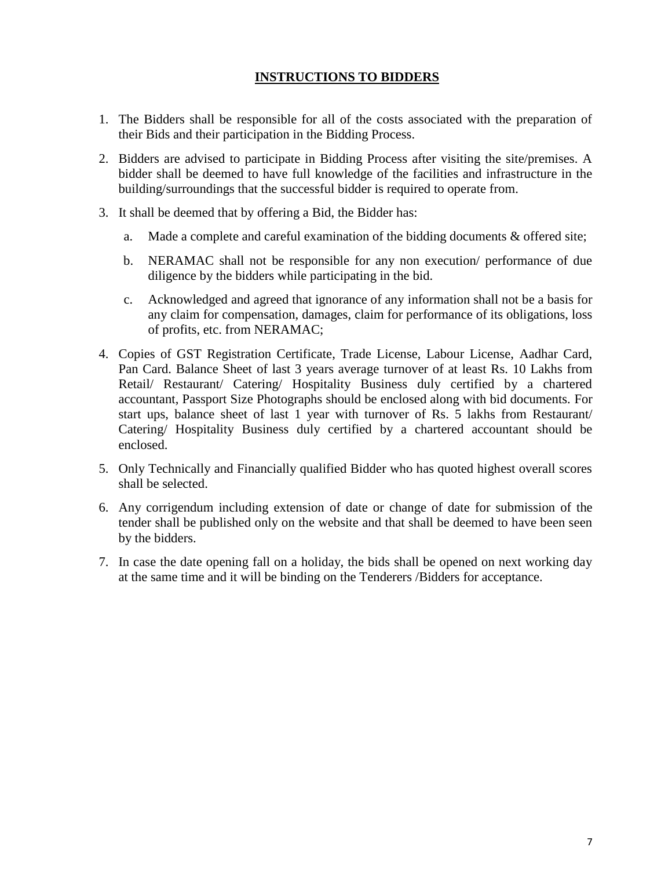# **INSTRUCTIONS TO BIDDERS**

- 1. The Bidders shall be responsible for all of the costs associated with the preparation of their Bids and their participation in the Bidding Process.
- 2. Bidders are advised to participate in Bidding Process after visiting the site/premises. A bidder shall be deemed to have full knowledge of the facilities and infrastructure in the building/surroundings that the successful bidder is required to operate from.
- 3. It shall be deemed that by offering a Bid, the Bidder has:
	- a. Made a complete and careful examination of the bidding documents & offered site;
	- b. NERAMAC shall not be responsible for any non execution/ performance of due diligence by the bidders while participating in the bid.
	- c. Acknowledged and agreed that ignorance of any information shall not be a basis for any claim for compensation, damages, claim for performance of its obligations, loss of profits, etc. from NERAMAC;
- 4. Copies of GST Registration Certificate, Trade License, Labour License, Aadhar Card, Pan Card. Balance Sheet of last 3 years average turnover of at least Rs. 10 Lakhs from Retail/ Restaurant/ Catering/ Hospitality Business duly certified by a chartered accountant, Passport Size Photographs should be enclosed along with bid documents. For start ups, balance sheet of last 1 year with turnover of Rs. 5 lakhs from Restaurant/ Catering/ Hospitality Business duly certified by a chartered accountant should be enclosed.
- 5. Only Technically and Financially qualified Bidder who has quoted highest overall scores shall be selected.
- 6. Any corrigendum including extension of date or change of date for submission of the tender shall be published only on the website and that shall be deemed to have been seen by the bidders.
- 7. In case the date opening fall on a holiday, the bids shall be opened on next working day at the same time and it will be binding on the Tenderers /Bidders for acceptance.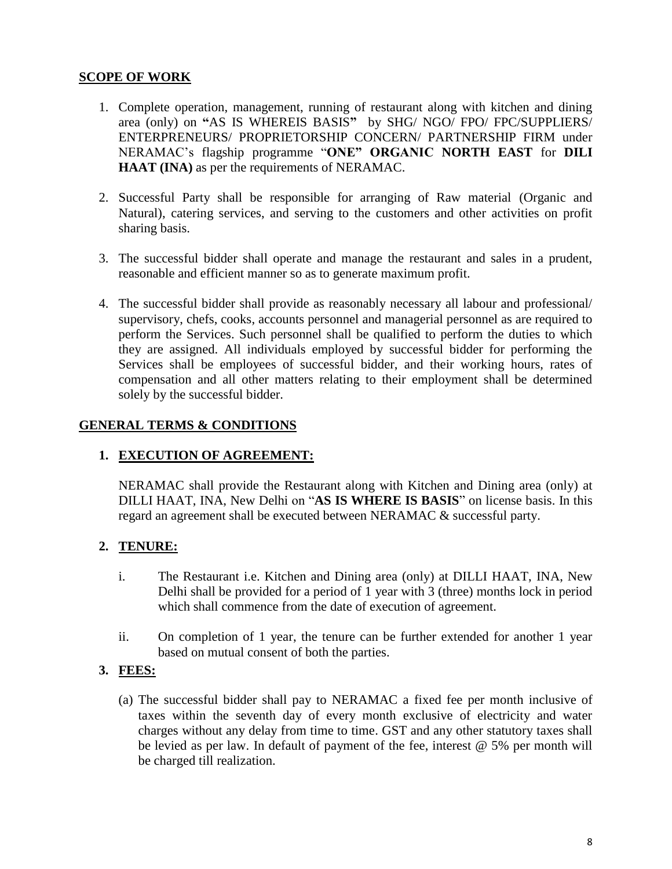# **SCOPE OF WORK**

- 1. Complete operation, management, running of restaurant along with kitchen and dining area (only) on **"**AS IS WHEREIS BASIS**"** by SHG/ NGO/ FPO/ FPC/SUPPLIERS/ ENTERPRENEURS/ PROPRIETORSHIP CONCERN/ PARTNERSHIP FIRM under NERAMAC's flagship programme "**ONE" ORGANIC NORTH EAST** for **DILI HAAT (INA)** as per the requirements of NERAMAC.
- 2. Successful Party shall be responsible for arranging of Raw material (Organic and Natural), catering services, and serving to the customers and other activities on profit sharing basis.
- 3. The successful bidder shall operate and manage the restaurant and sales in a prudent, reasonable and efficient manner so as to generate maximum profit.
- 4. The successful bidder shall provide as reasonably necessary all labour and professional/ supervisory, chefs, cooks, accounts personnel and managerial personnel as are required to perform the Services. Such personnel shall be qualified to perform the duties to which they are assigned. All individuals employed by successful bidder for performing the Services shall be employees of successful bidder, and their working hours, rates of compensation and all other matters relating to their employment shall be determined solely by the successful bidder.

# **GENERAL TERMS & CONDITIONS**

# **1. EXECUTION OF AGREEMENT:**

NERAMAC shall provide the Restaurant along with Kitchen and Dining area (only) at DILLI HAAT, INA, New Delhi on "**AS IS WHERE IS BASIS**" on license basis. In this regard an agreement shall be executed between NERAMAC & successful party.

# **2. TENURE:**

- i. The Restaurant i.e. Kitchen and Dining area (only) at DILLI HAAT, INA, New Delhi shall be provided for a period of 1 year with 3 (three) months lock in period which shall commence from the date of execution of agreement.
- ii. On completion of 1 year, the tenure can be further extended for another 1 year based on mutual consent of both the parties.

# **3. FEES:**

(a) The successful bidder shall pay to NERAMAC a fixed fee per month inclusive of taxes within the seventh day of every month exclusive of electricity and water charges without any delay from time to time. GST and any other statutory taxes shall be levied as per law. In default of payment of the fee, interest @ 5% per month will be charged till realization.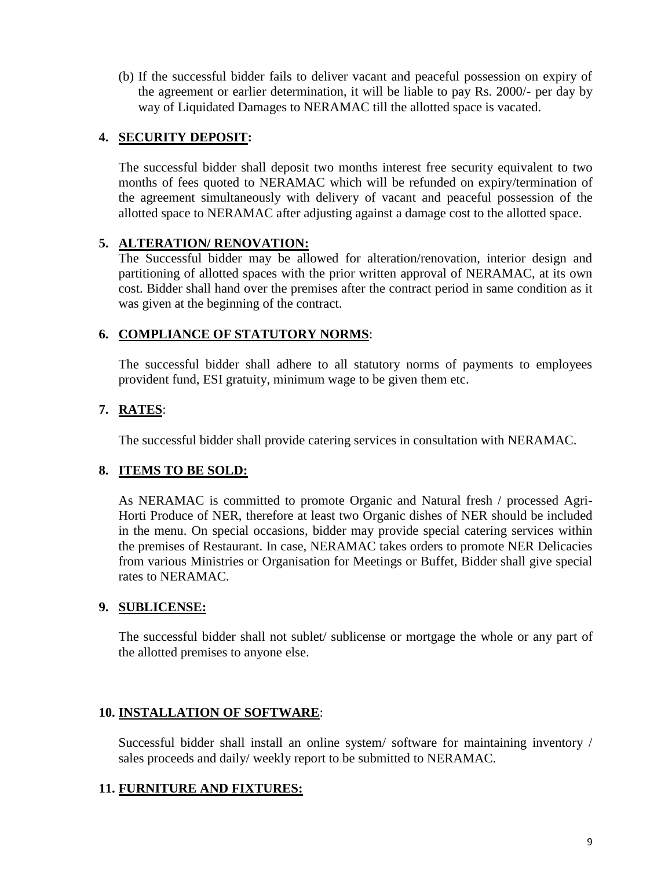(b) If the successful bidder fails to deliver vacant and peaceful possession on expiry of the agreement or earlier determination, it will be liable to pay Rs. 2000/- per day by way of Liquidated Damages to NERAMAC till the allotted space is vacated.

# **4. SECURITY DEPOSIT:**

The successful bidder shall deposit two months interest free security equivalent to two months of fees quoted to NERAMAC which will be refunded on expiry/termination of the agreement simultaneously with delivery of vacant and peaceful possession of the allotted space to NERAMAC after adjusting against a damage cost to the allotted space.

# **5. ALTERATION/ RENOVATION:**

The Successful bidder may be allowed for alteration/renovation, interior design and partitioning of allotted spaces with the prior written approval of NERAMAC, at its own cost. Bidder shall hand over the premises after the contract period in same condition as it was given at the beginning of the contract.

# **6. COMPLIANCE OF STATUTORY NORMS**:

The successful bidder shall adhere to all statutory norms of payments to employees provident fund, ESI gratuity, minimum wage to be given them etc.

# **7. RATES**:

The successful bidder shall provide catering services in consultation with NERAMAC.

# **8. ITEMS TO BE SOLD:**

As NERAMAC is committed to promote Organic and Natural fresh / processed Agri-Horti Produce of NER, therefore at least two Organic dishes of NER should be included in the menu. On special occasions, bidder may provide special catering services within the premises of Restaurant. In case, NERAMAC takes orders to promote NER Delicacies from various Ministries or Organisation for Meetings or Buffet, Bidder shall give special rates to NERAMAC.

# **9. SUBLICENSE:**

The successful bidder shall not sublet/ sublicense or mortgage the whole or any part of the allotted premises to anyone else.

# **10. INSTALLATION OF SOFTWARE**:

Successful bidder shall install an online system/ software for maintaining inventory / sales proceeds and daily/ weekly report to be submitted to NERAMAC.

# **11. FURNITURE AND FIXTURES:**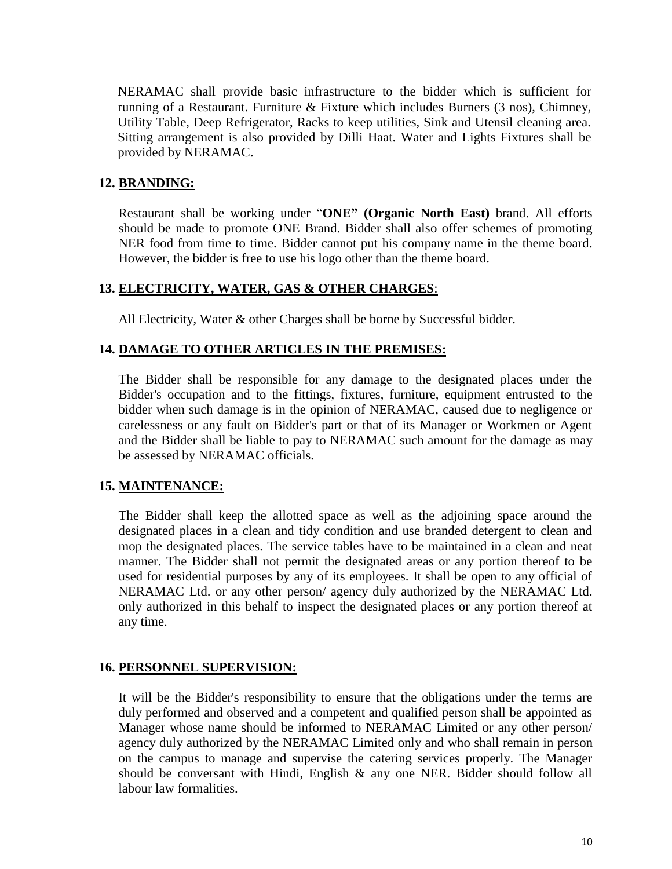NERAMAC shall provide basic infrastructure to the bidder which is sufficient for running of a Restaurant. Furniture & Fixture which includes Burners (3 nos), Chimney, Utility Table, Deep Refrigerator, Racks to keep utilities, Sink and Utensil cleaning area. Sitting arrangement is also provided by Dilli Haat. Water and Lights Fixtures shall be provided by NERAMAC.

#### **12. BRANDING:**

Restaurant shall be working under "**ONE" (Organic North East)** brand. All efforts should be made to promote ONE Brand. Bidder shall also offer schemes of promoting NER food from time to time. Bidder cannot put his company name in the theme board. However, the bidder is free to use his logo other than the theme board.

### **13. ELECTRICITY, WATER, GAS & OTHER CHARGES**:

All Electricity, Water & other Charges shall be borne by Successful bidder.

#### **14. DAMAGE TO OTHER ARTICLES IN THE PREMISES:**

The Bidder shall be responsible for any damage to the designated places under the Bidder's occupation and to the fittings, fixtures, furniture, equipment entrusted to the bidder when such damage is in the opinion of NERAMAC, caused due to negligence or carelessness or any fault on Bidder's part or that of its Manager or Workmen or Agent and the Bidder shall be liable to pay to NERAMAC such amount for the damage as may be assessed by NERAMAC officials.

# **15. MAINTENANCE:**

The Bidder shall keep the allotted space as well as the adjoining space around the designated places in a clean and tidy condition and use branded detergent to clean and mop the designated places. The service tables have to be maintained in a clean and neat manner. The Bidder shall not permit the designated areas or any portion thereof to be used for residential purposes by any of its employees. It shall be open to any official of NERAMAC Ltd. or any other person/ agency duly authorized by the NERAMAC Ltd. only authorized in this behalf to inspect the designated places or any portion thereof at any time.

#### **16. PERSONNEL SUPERVISION:**

It will be the Bidder's responsibility to ensure that the obligations under the terms are duly performed and observed and a competent and qualified person shall be appointed as Manager whose name should be informed to NERAMAC Limited or any other person/ agency duly authorized by the NERAMAC Limited only and who shall remain in person on the campus to manage and supervise the catering services properly. The Manager should be conversant with Hindi, English & any one NER. Bidder should follow all labour law formalities.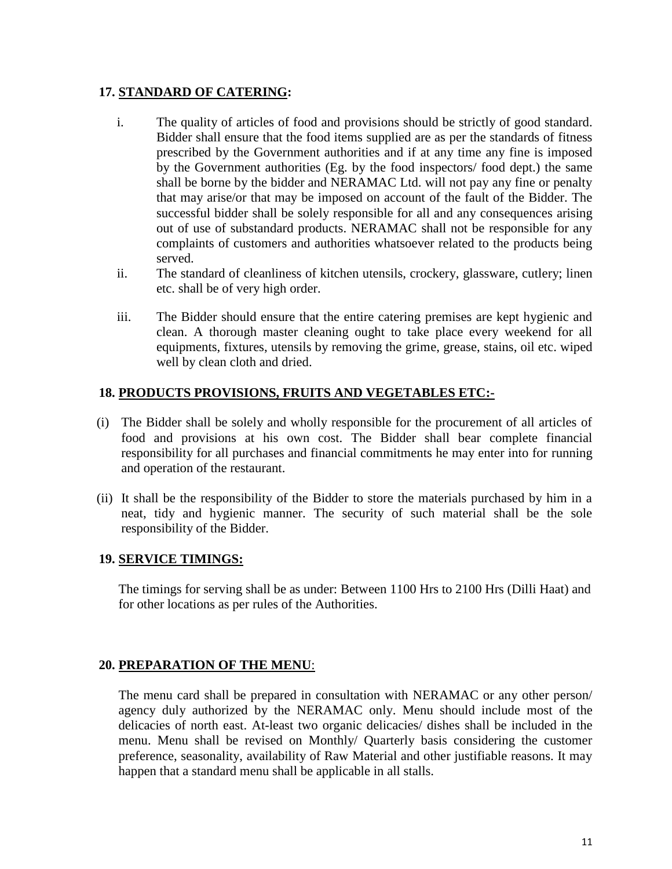### **17. STANDARD OF CATERING:**

- i. The quality of articles of food and provisions should be strictly of good standard. Bidder shall ensure that the food items supplied are as per the standards of fitness prescribed by the Government authorities and if at any time any fine is imposed by the Government authorities (Eg. by the food inspectors/ food dept.) the same shall be borne by the bidder and NERAMAC Ltd. will not pay any fine or penalty that may arise/or that may be imposed on account of the fault of the Bidder. The successful bidder shall be solely responsible for all and any consequences arising out of use of substandard products. NERAMAC shall not be responsible for any complaints of customers and authorities whatsoever related to the products being served.
- ii. The standard of cleanliness of kitchen utensils, crockery, glassware, cutlery; linen etc. shall be of very high order.
- iii. The Bidder should ensure that the entire catering premises are kept hygienic and clean. A thorough master cleaning ought to take place every weekend for all equipments, fixtures, utensils by removing the grime, grease, stains, oil etc. wiped well by clean cloth and dried.

# **18. PRODUCTS PROVISIONS, FRUITS AND VEGETABLES ETC:-**

- (i) The Bidder shall be solely and wholly responsible for the procurement of all articles of food and provisions at his own cost. The Bidder shall bear complete financial responsibility for all purchases and financial commitments he may enter into for running and operation of the restaurant.
- (ii) It shall be the responsibility of the Bidder to store the materials purchased by him in a neat, tidy and hygienic manner. The security of such material shall be the sole responsibility of the Bidder.

#### **19. SERVICE TIMINGS:**

The timings for serving shall be as under: Between 1100 Hrs to 2100 Hrs (Dilli Haat) and for other locations as per rules of the Authorities.

# **20. PREPARATION OF THE MENU**:

The menu card shall be prepared in consultation with NERAMAC or any other person/ agency duly authorized by the NERAMAC only. Menu should include most of the delicacies of north east. At-least two organic delicacies/ dishes shall be included in the menu. Menu shall be revised on Monthly/ Quarterly basis considering the customer preference, seasonality, availability of Raw Material and other justifiable reasons. It may happen that a standard menu shall be applicable in all stalls.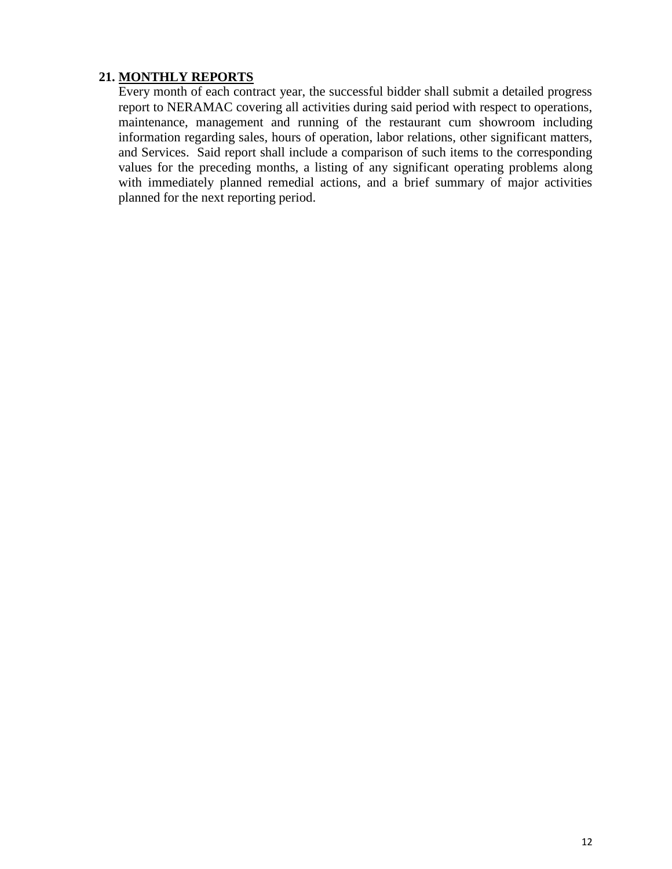# **21. MONTHLY REPORTS**

Every month of each contract year, the successful bidder shall submit a detailed progress report to NERAMAC covering all activities during said period with respect to operations, maintenance, management and running of the restaurant cum showroom including information regarding sales, hours of operation, labor relations, other significant matters, and Services. Said report shall include a comparison of such items to the corresponding values for the preceding months, a listing of any significant operating problems along with immediately planned remedial actions, and a brief summary of major activities planned for the next reporting period.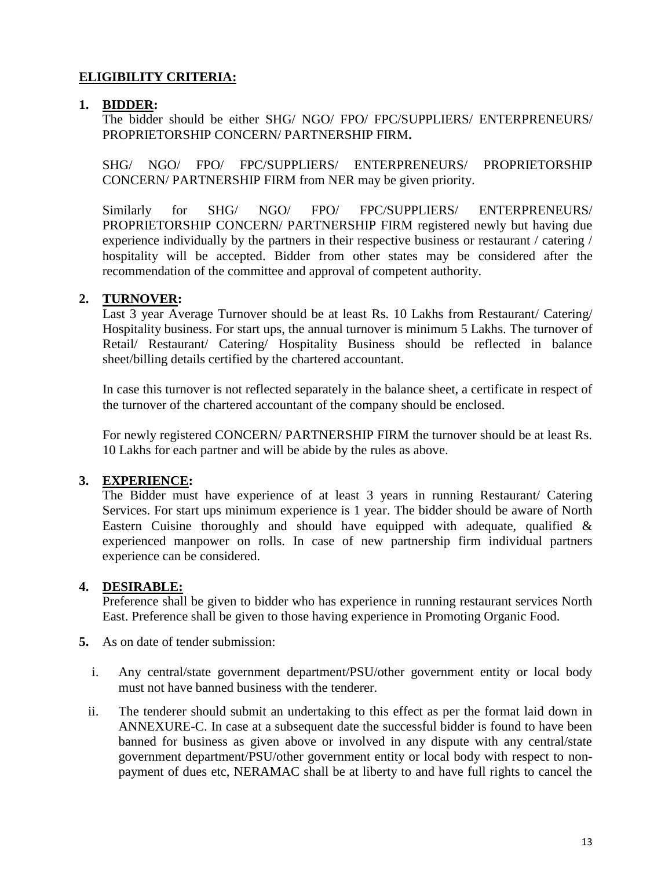# **ELIGIBILITY CRITERIA:**

### **1. BIDDER:**

The bidder should be either SHG/ NGO/ FPO/ FPC/SUPPLIERS/ ENTERPRENEURS/ PROPRIETORSHIP CONCERN/ PARTNERSHIP FIRM**.** 

SHG/ NGO/ FPO/ FPC/SUPPLIERS/ ENTERPRENEURS/ PROPRIETORSHIP CONCERN/ PARTNERSHIP FIRM from NER may be given priority.

Similarly for SHG/ NGO/ FPO/ FPC/SUPPLIERS/ ENTERPRENEURS/ PROPRIETORSHIP CONCERN/ PARTNERSHIP FIRM registered newly but having due experience individually by the partners in their respective business or restaurant / catering / hospitality will be accepted. Bidder from other states may be considered after the recommendation of the committee and approval of competent authority.

# **2. TURNOVER:**

Last 3 year Average Turnover should be at least Rs. 10 Lakhs from Restaurant/ Catering/ Hospitality business. For start ups, the annual turnover is minimum 5 Lakhs. The turnover of Retail/ Restaurant/ Catering/ Hospitality Business should be reflected in balance sheet/billing details certified by the chartered accountant.

In case this turnover is not reflected separately in the balance sheet, a certificate in respect of the turnover of the chartered accountant of the company should be enclosed.

For newly registered CONCERN/ PARTNERSHIP FIRM the turnover should be at least Rs. 10 Lakhs for each partner and will be abide by the rules as above.

# **3. EXPERIENCE:**

The Bidder must have experience of at least 3 years in running Restaurant/ Catering Services. For start ups minimum experience is 1 year. The bidder should be aware of North Eastern Cuisine thoroughly and should have equipped with adequate, qualified  $\&$ experienced manpower on rolls. In case of new partnership firm individual partners experience can be considered.

#### **4. DESIRABLE:**

Preference shall be given to bidder who has experience in running restaurant services North East. Preference shall be given to those having experience in Promoting Organic Food.

- **5.** As on date of tender submission:
	- i. Any central/state government department/PSU/other government entity or local body must not have banned business with the tenderer.
	- ii. The tenderer should submit an undertaking to this effect as per the format laid down in ANNEXURE-C. In case at a subsequent date the successful bidder is found to have been banned for business as given above or involved in any dispute with any central/state government department/PSU/other government entity or local body with respect to nonpayment of dues etc, NERAMAC shall be at liberty to and have full rights to cancel the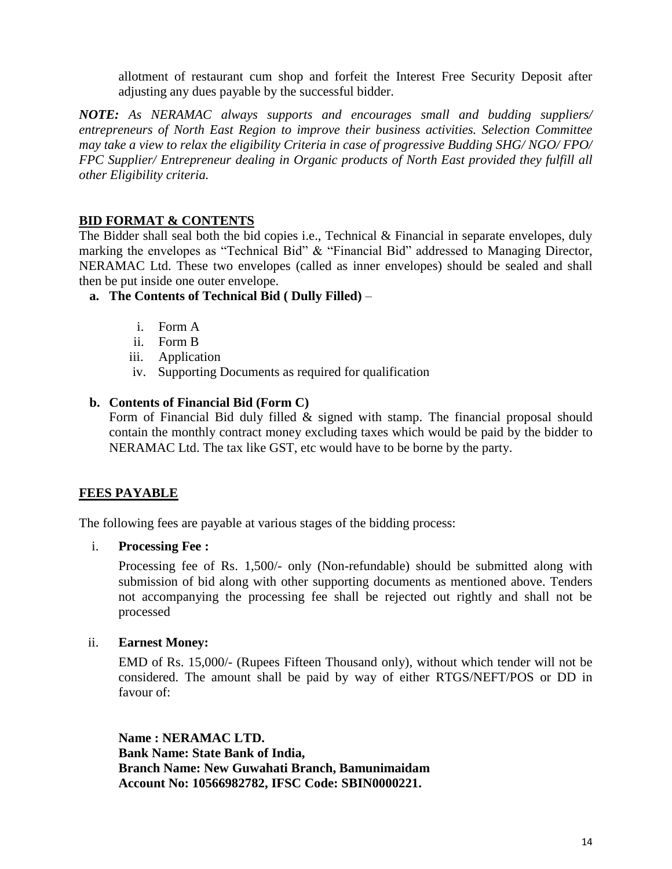allotment of restaurant cum shop and forfeit the Interest Free Security Deposit after adjusting any dues payable by the successful bidder.

*NOTE: As NERAMAC always supports and encourages small and budding suppliers/ entrepreneurs of North East Region to improve their business activities. Selection Committee may take a view to relax the eligibility Criteria in case of progressive Budding SHG/ NGO/ FPO/ FPC Supplier/ Entrepreneur dealing in Organic products of North East provided they fulfill all other Eligibility criteria.*

# **BID FORMAT & CONTENTS**

The Bidder shall seal both the bid copies i.e., Technical  $\&$  Financial in separate envelopes, duly marking the envelopes as "Technical Bid" & "Financial Bid" addressed to Managing Director, NERAMAC Ltd. These two envelopes (called as inner envelopes) should be sealed and shall then be put inside one outer envelope.

### **a. The Contents of Technical Bid ( Dully Filled)** –

- i. Form A
- ii. Form B
- iii. Application
- iv. Supporting Documents as required for qualification

### **b. Contents of Financial Bid (Form C)**

Form of Financial Bid duly filled & signed with stamp. The financial proposal should contain the monthly contract money excluding taxes which would be paid by the bidder to NERAMAC Ltd. The tax like GST, etc would have to be borne by the party.

# **FEES PAYABLE**

The following fees are payable at various stages of the bidding process:

i. **Processing Fee :**

Processing fee of Rs. 1,500/- only (Non-refundable) should be submitted along with submission of bid along with other supporting documents as mentioned above. Tenders not accompanying the processing fee shall be rejected out rightly and shall not be processed

#### ii. **Earnest Money:**

EMD of Rs. 15,000/- (Rupees Fifteen Thousand only), without which tender will not be considered. The amount shall be paid by way of either RTGS/NEFT/POS or DD in favour of:

**Name : NERAMAC LTD. Bank Name: State Bank of India, Branch Name: New Guwahati Branch, Bamunimaidam Account No: 10566982782, IFSC Code: SBIN0000221.**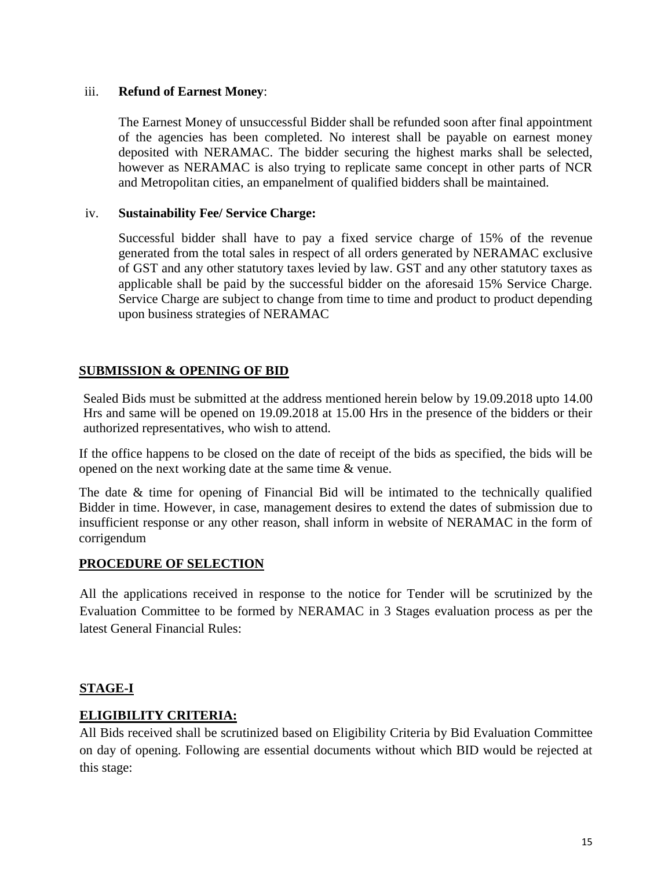#### iii. **Refund of Earnest Money**:

The Earnest Money of unsuccessful Bidder shall be refunded soon after final appointment of the agencies has been completed. No interest shall be payable on earnest money deposited with NERAMAC. The bidder securing the highest marks shall be selected, however as NERAMAC is also trying to replicate same concept in other parts of NCR and Metropolitan cities, an empanelment of qualified bidders shall be maintained.

#### iv. **Sustainability Fee/ Service Charge:**

Successful bidder shall have to pay a fixed service charge of 15% of the revenue generated from the total sales in respect of all orders generated by NERAMAC exclusive of GST and any other statutory taxes levied by law. GST and any other statutory taxes as applicable shall be paid by the successful bidder on the aforesaid 15% Service Charge. Service Charge are subject to change from time to time and product to product depending upon business strategies of NERAMAC

# **SUBMISSION & OPENING OF BID**

Sealed Bids must be submitted at the address mentioned herein below by 19.09.2018 upto 14.00 Hrs and same will be opened on 19.09.2018 at 15.00 Hrs in the presence of the bidders or their authorized representatives, who wish to attend.

If the office happens to be closed on the date of receipt of the bids as specified, the bids will be opened on the next working date at the same time & venue.

The date & time for opening of Financial Bid will be intimated to the technically qualified Bidder in time. However, in case, management desires to extend the dates of submission due to insufficient response or any other reason, shall inform in website of NERAMAC in the form of corrigendum

# **PROCEDURE OF SELECTION**

All the applications received in response to the notice for Tender will be scrutinized by the Evaluation Committee to be formed by NERAMAC in 3 Stages evaluation process as per the latest General Financial Rules:

# **STAGE-I**

# **ELIGIBILITY CRITERIA:**

All Bids received shall be scrutinized based on Eligibility Criteria by Bid Evaluation Committee on day of opening. Following are essential documents without which BID would be rejected at this stage: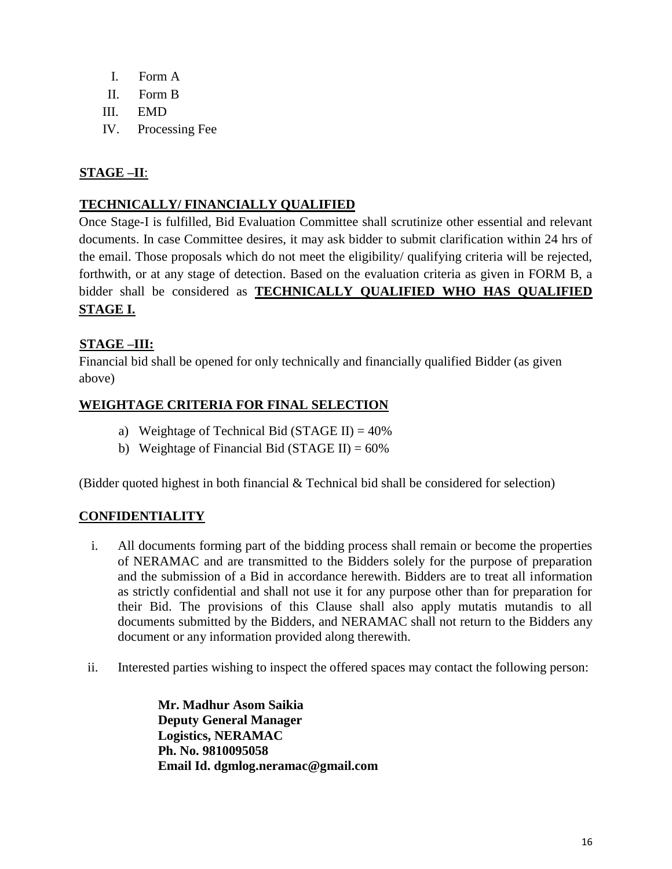- I. Form A
- II. Form B
- III. EMD
- IV. Processing Fee

# **STAGE –II**:

# **TECHNICALLY/ FINANCIALLY QUALIFIED**

Once Stage-I is fulfilled, Bid Evaluation Committee shall scrutinize other essential and relevant documents. In case Committee desires, it may ask bidder to submit clarification within 24 hrs of the email. Those proposals which do not meet the eligibility/ qualifying criteria will be rejected, forthwith, or at any stage of detection. Based on the evaluation criteria as given in FORM B, a bidder shall be considered as **TECHNICALLY QUALIFIED WHO HAS QUALIFIED STAGE I.**

# **STAGE –III:**

Financial bid shall be opened for only technically and financially qualified Bidder (as given above)

# **WEIGHTAGE CRITERIA FOR FINAL SELECTION**

- a) Weightage of Technical Bid (STAGE II) =  $40\%$
- b) Weightage of Financial Bid (STAGE II) =  $60\%$

(Bidder quoted highest in both financial  $&$  Technical bid shall be considered for selection)

# **CONFIDENTIALITY**

- i. All documents forming part of the bidding process shall remain or become the properties of NERAMAC and are transmitted to the Bidders solely for the purpose of preparation and the submission of a Bid in accordance herewith. Bidders are to treat all information as strictly confidential and shall not use it for any purpose other than for preparation for their Bid. The provisions of this Clause shall also apply mutatis mutandis to all documents submitted by the Bidders, and NERAMAC shall not return to the Bidders any document or any information provided along therewith.
- ii. Interested parties wishing to inspect the offered spaces may contact the following person:

**Mr. Madhur Asom Saikia Deputy General Manager Logistics, NERAMAC Ph. No. 9810095058 Email Id. dgmlog.neramac@gmail.com**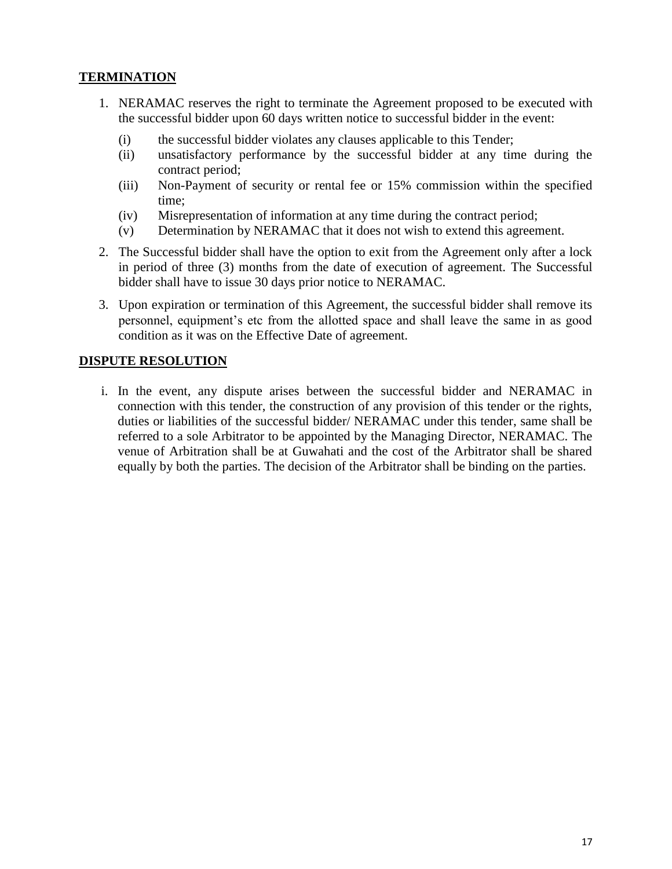# **TERMINATION**

- 1. NERAMAC reserves the right to terminate the Agreement proposed to be executed with the successful bidder upon 60 days written notice to successful bidder in the event:
	- (i) the successful bidder violates any clauses applicable to this Tender;
	- (ii) unsatisfactory performance by the successful bidder at any time during the contract period;
	- (iii) Non-Payment of security or rental fee or 15% commission within the specified time;
	- (iv) Misrepresentation of information at any time during the contract period;
	- (v) Determination by NERAMAC that it does not wish to extend this agreement.
- 2. The Successful bidder shall have the option to exit from the Agreement only after a lock in period of three (3) months from the date of execution of agreement. The Successful bidder shall have to issue 30 days prior notice to NERAMAC.
- 3. Upon expiration or termination of this Agreement, the successful bidder shall remove its personnel, equipment's etc from the allotted space and shall leave the same in as good condition as it was on the Effective Date of agreement.

### **DISPUTE RESOLUTION**

i. In the event, any dispute arises between the successful bidder and NERAMAC in connection with this tender, the construction of any provision of this tender or the rights, duties or liabilities of the successful bidder/ NERAMAC under this tender, same shall be referred to a sole Arbitrator to be appointed by the Managing Director, NERAMAC. The venue of Arbitration shall be at Guwahati and the cost of the Arbitrator shall be shared equally by both the parties. The decision of the Arbitrator shall be binding on the parties.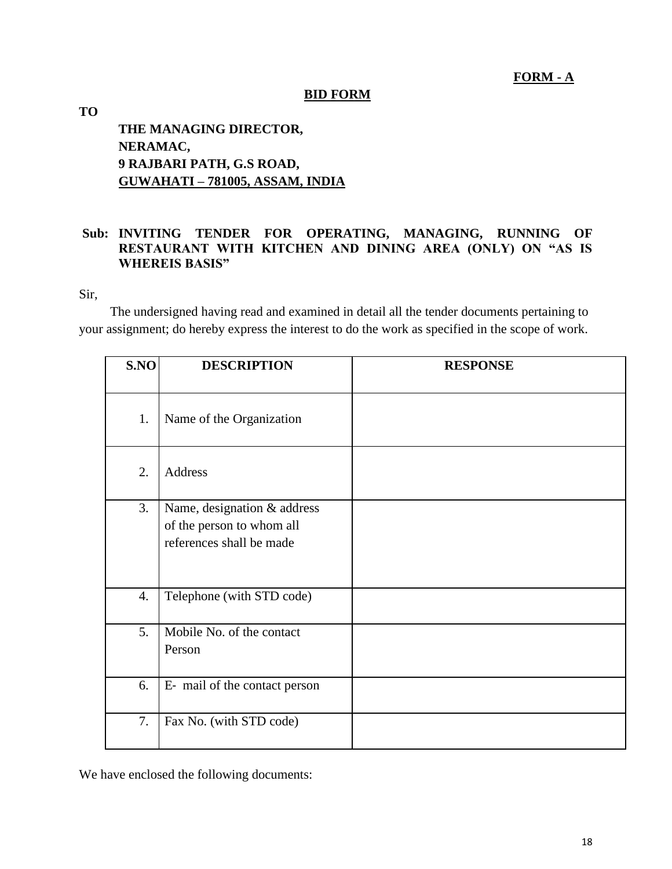### **FORM - A**

# **BID FORM**

# **TO THE MANAGING DIRECTOR, NERAMAC, 9 RAJBARI PATH, G.S ROAD, GUWAHATI – 781005, ASSAM, INDIA**

# **Sub: INVITING TENDER FOR OPERATING, MANAGING, RUNNING OF RESTAURANT WITH KITCHEN AND DINING AREA (ONLY) ON "AS IS WHEREIS BASIS"**

Sir,

The undersigned having read and examined in detail all the tender documents pertaining to your assignment; do hereby express the interest to do the work as specified in the scope of work.

| S.NO | <b>DESCRIPTION</b>                                                                   | <b>RESPONSE</b> |
|------|--------------------------------------------------------------------------------------|-----------------|
| 1.   | Name of the Organization                                                             |                 |
| 2.   | <b>Address</b>                                                                       |                 |
| 3.   | Name, designation & address<br>of the person to whom all<br>references shall be made |                 |
| 4.   | Telephone (with STD code)                                                            |                 |
| 5.   | Mobile No. of the contact<br>Person                                                  |                 |
| 6.   | E- mail of the contact person                                                        |                 |
| 7.   | Fax No. (with STD code)                                                              |                 |

We have enclosed the following documents: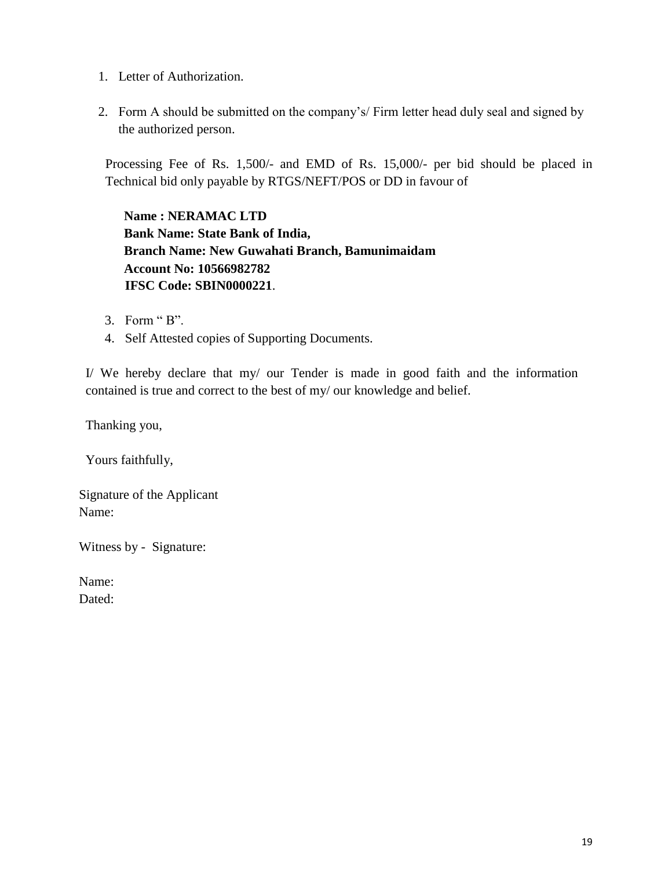- 1. Letter of Authorization.
- 2. Form A should be submitted on the company's/ Firm letter head duly seal and signed by the authorized person.

Processing Fee of Rs. 1,500/- and EMD of Rs. 15,000/- per bid should be placed in Technical bid only payable by RTGS/NEFT/POS or DD in favour of

**Name : NERAMAC LTD Bank Name: State Bank of India, Branch Name: New Guwahati Branch, Bamunimaidam Account No: 10566982782 IFSC Code: SBIN0000221**.

- 3. Form " B".
- 4. Self Attested copies of Supporting Documents.

I/ We hereby declare that my/ our Tender is made in good faith and the information contained is true and correct to the best of my/ our knowledge and belief.

Thanking you,

Yours faithfully,

Signature of the Applicant Name:

Witness by - Signature:

Name: Dated: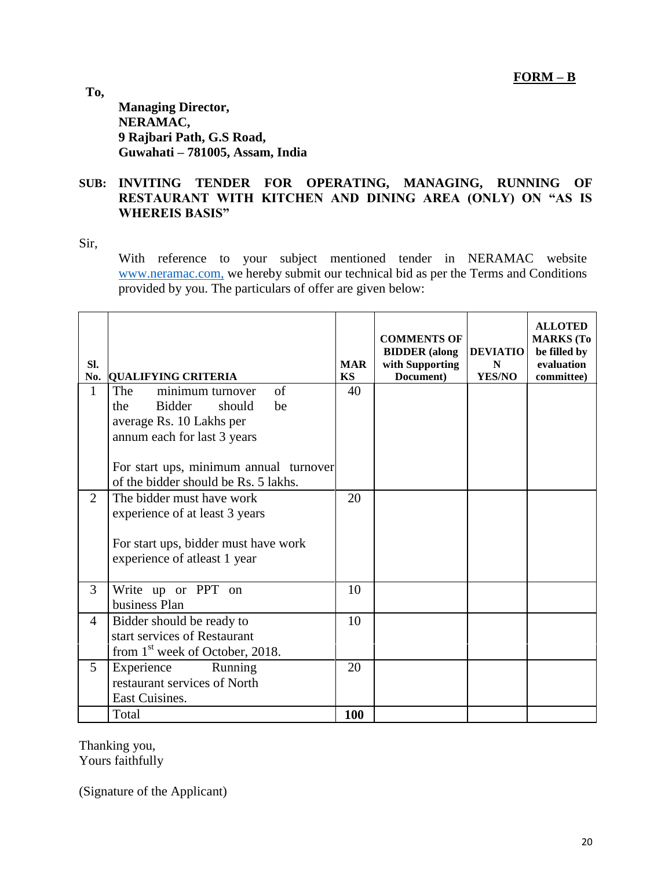**To,**

**Managing Director, NERAMAC, 9 Rajbari Path, G.S Road, Guwahati – 781005, Assam, India**

### **SUB: INVITING TENDER FOR OPERATING, MANAGING, RUNNING OF RESTAURANT WITH KITCHEN AND DINING AREA (ONLY) ON "AS IS WHEREIS BASIS"**

Sir,

With reference to your subject mentioned tender in NERAMAC website [www.neramac.com,](http://www.neramac.com,/) we hereby submit our technical bid as per the Terms and Conditions provided by you. The particulars of offer are given below:

| SI.<br>No.     | <b>QUALIFYING CRITERIA</b>                  | <b>MAR</b><br>KS | <b>COMMENTS OF</b><br><b>BIDDER</b> (along<br>with Supporting<br>Document) | <b>DEVIATIO</b><br>N<br><b>YES/NO</b> | <b>ALLOTED</b><br><b>MARKS</b> (To<br>be filled by<br>evaluation<br>committee) |
|----------------|---------------------------------------------|------------------|----------------------------------------------------------------------------|---------------------------------------|--------------------------------------------------------------------------------|
| $\mathbf{1}$   | $\sigma$ f<br>The<br>minimum turnover       | 40               |                                                                            |                                       |                                                                                |
|                | <b>Bidder</b><br>should<br>be<br>the        |                  |                                                                            |                                       |                                                                                |
|                | average Rs. 10 Lakhs per                    |                  |                                                                            |                                       |                                                                                |
|                | annum each for last 3 years                 |                  |                                                                            |                                       |                                                                                |
|                | For start ups, minimum annual turnover      |                  |                                                                            |                                       |                                                                                |
|                | of the bidder should be Rs. 5 lakhs.        |                  |                                                                            |                                       |                                                                                |
| $\overline{2}$ | The bidder must have work                   | 20               |                                                                            |                                       |                                                                                |
|                | experience of at least 3 years              |                  |                                                                            |                                       |                                                                                |
|                |                                             |                  |                                                                            |                                       |                                                                                |
|                | For start ups, bidder must have work        |                  |                                                                            |                                       |                                                                                |
|                | experience of atleast 1 year                |                  |                                                                            |                                       |                                                                                |
|                |                                             |                  |                                                                            |                                       |                                                                                |
| 3              | Write up or PPT on                          | 10               |                                                                            |                                       |                                                                                |
|                | business Plan                               |                  |                                                                            |                                       |                                                                                |
| 4              | Bidder should be ready to                   | 10               |                                                                            |                                       |                                                                                |
|                | start services of Restaurant                |                  |                                                                            |                                       |                                                                                |
|                | from 1 <sup>st</sup> week of October, 2018. |                  |                                                                            |                                       |                                                                                |
| 5              | Running<br>Experience                       | 20               |                                                                            |                                       |                                                                                |
|                | restaurant services of North                |                  |                                                                            |                                       |                                                                                |
|                | East Cuisines.                              |                  |                                                                            |                                       |                                                                                |
|                | Total                                       | <b>100</b>       |                                                                            |                                       |                                                                                |

Thanking you, Yours faithfully

(Signature of the Applicant)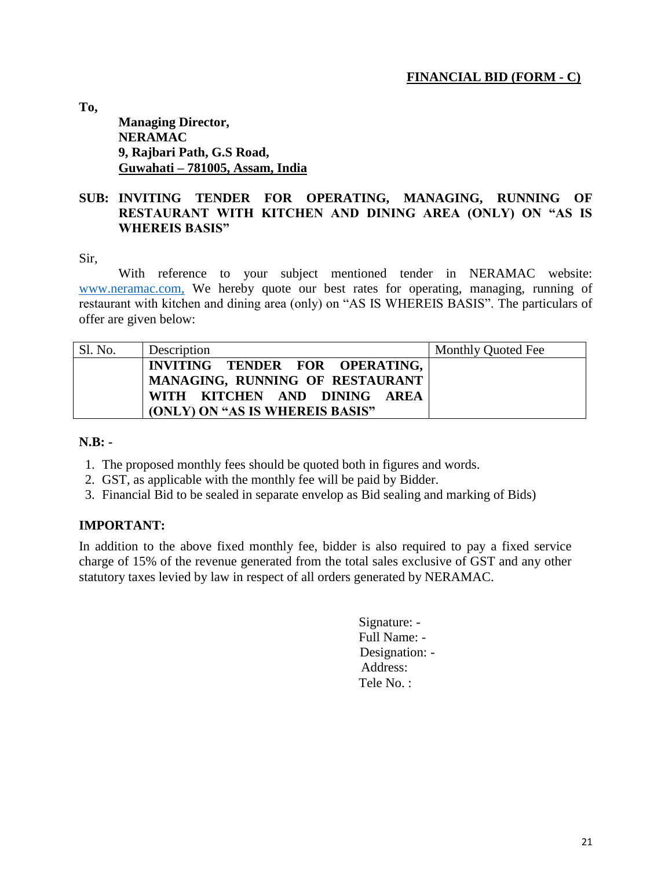# **FINANCIAL BID (FORM - C)**

**To,**

# **Managing Director, NERAMAC 9, Rajbari Path, G.S Road, Guwahati – 781005, Assam, India**

### **SUB: INVITING TENDER FOR OPERATING, MANAGING, RUNNING OF RESTAURANT WITH KITCHEN AND DINING AREA (ONLY) ON "AS IS WHEREIS BASIS"**

Sir,

With reference to your subject mentioned tender in NERAMAC website: [www.neramac.com,](http://www.neramac.com,/) We hereby quote our best rates for operating, managing, running of restaurant with kitchen and dining area (only) on "AS IS WHEREIS BASIS". The particulars of offer are given below:

| Sl. No. | Description                     | Monthly Quoted Fee |
|---------|---------------------------------|--------------------|
|         | INVITING TENDER FOR OPERATING,  |                    |
|         | MANAGING, RUNNING OF RESTAURANT |                    |
|         | WITH KITCHEN AND DINING AREA    |                    |
|         | (ONLY) ON "AS IS WHEREIS BASIS" |                    |

#### **N.B: -**

- 1. The proposed monthly fees should be quoted both in figures and words.
- 2. GST, as applicable with the monthly fee will be paid by Bidder.
- 3. Financial Bid to be sealed in separate envelop as Bid sealing and marking of Bids)

#### **IMPORTANT:**

In addition to the above fixed monthly fee, bidder is also required to pay a fixed service charge of 15% of the revenue generated from the total sales exclusive of GST and any other statutory taxes levied by law in respect of all orders generated by NERAMAC.

> Signature: - Full Name: - Designation: - Address: Tele No. :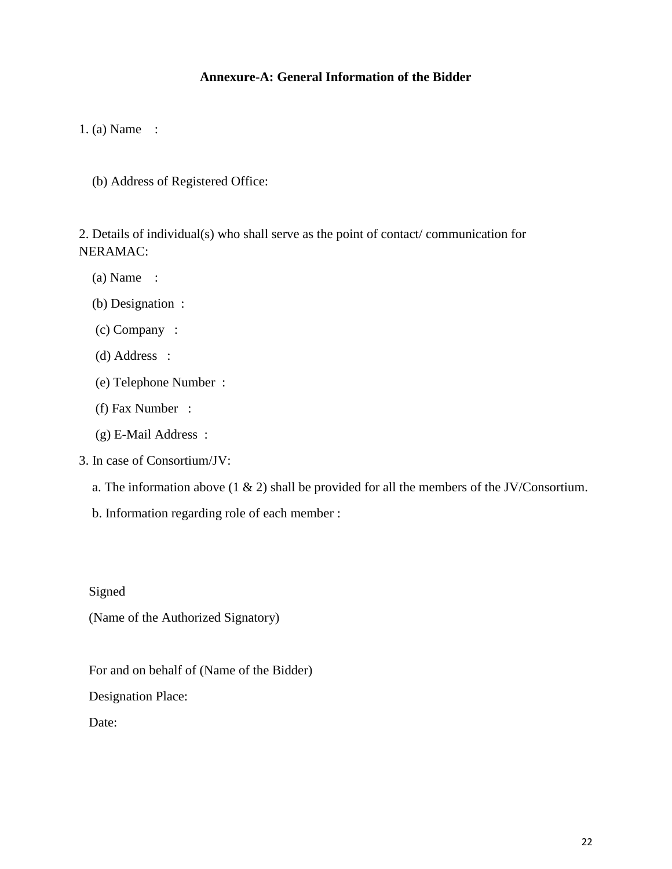### **Annexure-A: General Information of the Bidder**

1. (a) Name :

(b) Address of Registered Office:

2. Details of individual(s) who shall serve as the point of contact/ communication for NERAMAC:

- (a) Name :
- (b) Designation :
- (c) Company :
- (d) Address :
- (e) Telephone Number :
- (f) Fax Number :
- (g) E-Mail Address :
- 3. In case of Consortium/JV:
	- a. The information above  $(1 \& 2)$  shall be provided for all the members of the JV/Consortium.
	- b. Information regarding role of each member :

Signed

(Name of the Authorized Signatory)

For and on behalf of (Name of the Bidder)

Designation Place:

Date: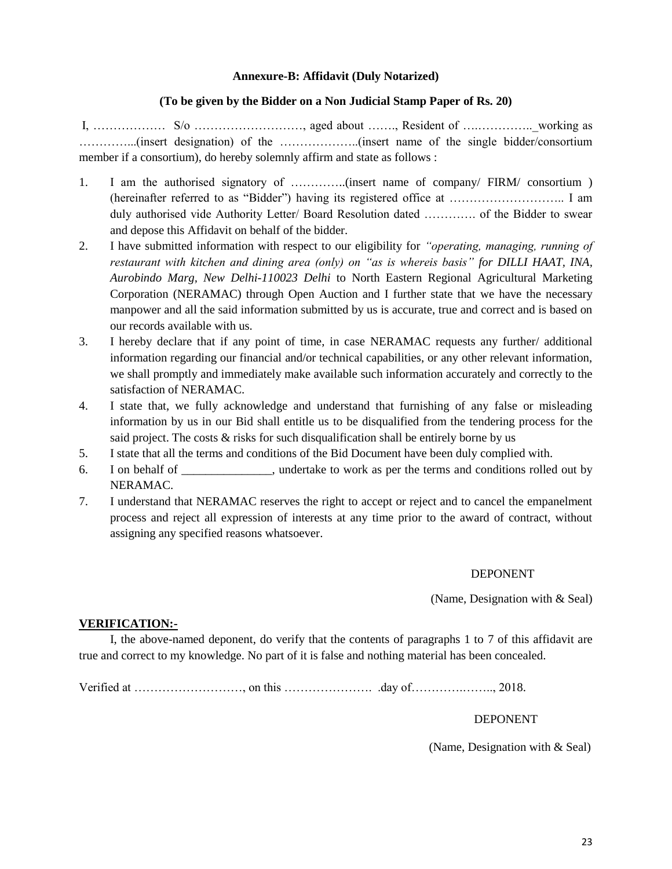#### **Annexure-B: Affidavit (Duly Notarized)**

#### **(To be given by the Bidder on a Non Judicial Stamp Paper of Rs. 20)**

I,  $\ldots$  S/o  $\ldots$  S/o  $\ldots$   $\ldots$   $\ldots$   $\ldots$  aged about  $\ldots$  Resident of  $\ldots$   $\ldots$  working as …………...(insert designation) of the ………………..(insert name of the single bidder/consortium member if a consortium), do hereby solemnly affirm and state as follows :

- 1. I am the authorised signatory of …………..(insert name of company/ FIRM/ consortium ) (hereinafter referred to as "Bidder") having its registered office at ……………………….. I am duly authorised vide Authority Letter/ Board Resolution dated …………. of the Bidder to swear and depose this Affidavit on behalf of the bidder.
- 2. I have submitted information with respect to our eligibility for *"operating, managing, running of restaurant with kitchen and dining area (only) on "as is whereis basis" for DILLI HAAT, INA, Aurobindo Marg, New Delhi-110023 Delhi* to North Eastern Regional Agricultural Marketing Corporation (NERAMAC) through Open Auction and I further state that we have the necessary manpower and all the said information submitted by us is accurate, true and correct and is based on our records available with us.
- 3. I hereby declare that if any point of time, in case NERAMAC requests any further/ additional information regarding our financial and/or technical capabilities, or any other relevant information, we shall promptly and immediately make available such information accurately and correctly to the satisfaction of NERAMAC.
- 4. I state that, we fully acknowledge and understand that furnishing of any false or misleading information by us in our Bid shall entitle us to be disqualified from the tendering process for the said project. The costs & risks for such disqualification shall be entirely borne by us
- 5. I state that all the terms and conditions of the Bid Document have been duly complied with.
- 6. I on behalf of \_\_\_\_\_\_\_\_\_\_\_\_\_\_\_, undertake to work as per the terms and conditions rolled out by NERAMAC.
- 7. I understand that NERAMAC reserves the right to accept or reject and to cancel the empanelment process and reject all expression of interests at any time prior to the award of contract, without assigning any specified reasons whatsoever.

#### DEPONENT

(Name, Designation with & Seal)

#### **VERIFICATION:-**

I, the above-named deponent, do verify that the contents of paragraphs 1 to 7 of this affidavit are true and correct to my knowledge. No part of it is false and nothing material has been concealed.

Verified at ………………………, on this …………………. .day of………….…….., 2018.

#### DEPONENT

(Name, Designation with & Seal)